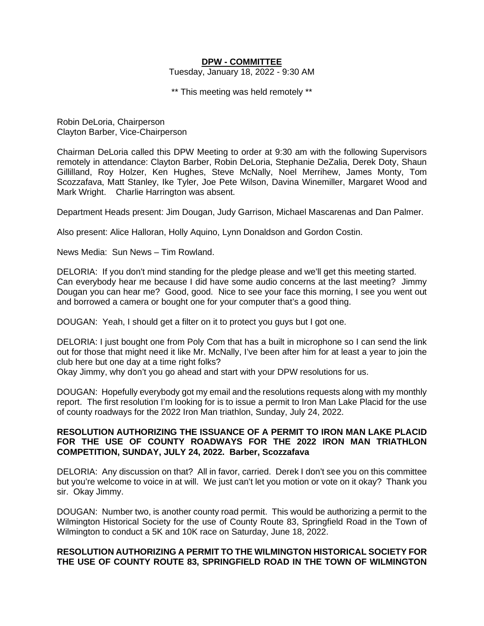### **DPW - COMMITTEE**

Tuesday, January 18, 2022 - 9:30 AM

\*\* This meeting was held remotely \*\*

Robin DeLoria, Chairperson Clayton Barber, Vice-Chairperson

Chairman DeLoria called this DPW Meeting to order at 9:30 am with the following Supervisors remotely in attendance: Clayton Barber, Robin DeLoria, Stephanie DeZalia, Derek Doty, Shaun Gillilland, Roy Holzer, Ken Hughes, Steve McNally, Noel Merrihew, James Monty, Tom Scozzafava, Matt Stanley, Ike Tyler, Joe Pete Wilson, Davina Winemiller, Margaret Wood and Mark Wright. Charlie Harrington was absent.

Department Heads present: Jim Dougan, Judy Garrison, Michael Mascarenas and Dan Palmer.

Also present: Alice Halloran, Holly Aquino, Lynn Donaldson and Gordon Costin.

News Media: Sun News – Tim Rowland.

DELORIA: If you don't mind standing for the pledge please and we'll get this meeting started. Can everybody hear me because I did have some audio concerns at the last meeting? Jimmy Dougan you can hear me? Good, good. Nice to see your face this morning, I see you went out and borrowed a camera or bought one for your computer that's a good thing.

DOUGAN: Yeah, I should get a filter on it to protect you guys but I got one.

DELORIA: I just bought one from Poly Com that has a built in microphone so I can send the link out for those that might need it like Mr. McNally, I've been after him for at least a year to join the club here but one day at a time right folks?

Okay Jimmy, why don't you go ahead and start with your DPW resolutions for us.

DOUGAN: Hopefully everybody got my email and the resolutions requests along with my monthly report. The first resolution I'm looking for is to issue a permit to Iron Man Lake Placid for the use of county roadways for the 2022 Iron Man triathlon, Sunday, July 24, 2022.

#### **RESOLUTION AUTHORIZING THE ISSUANCE OF A PERMIT TO IRON MAN LAKE PLACID FOR THE USE OF COUNTY ROADWAYS FOR THE 2022 IRON MAN TRIATHLON COMPETITION, SUNDAY, JULY 24, 2022. Barber, Scozzafava**

DELORIA: Any discussion on that? All in favor, carried. Derek I don't see you on this committee but you're welcome to voice in at will. We just can't let you motion or vote on it okay? Thank you sir. Okay Jimmy.

DOUGAN: Number two, is another county road permit. This would be authorizing a permit to the Wilmington Historical Society for the use of County Route 83, Springfield Road in the Town of Wilmington to conduct a 5K and 10K race on Saturday, June 18, 2022.

### **RESOLUTION AUTHORIZING A PERMIT TO THE WILMINGTON HISTORICAL SOCIETY FOR THE USE OF COUNTY ROUTE 83, SPRINGFIELD ROAD IN THE TOWN OF WILMINGTON**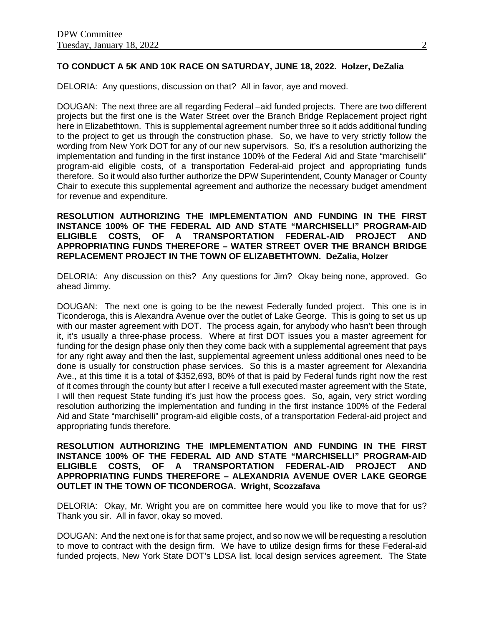# **TO CONDUCT A 5K AND 10K RACE ON SATURDAY, JUNE 18, 2022. Holzer, DeZalia**

DELORIA: Any questions, discussion on that? All in favor, aye and moved.

DOUGAN: The next three are all regarding Federal –aid funded projects. There are two different projects but the first one is the Water Street over the Branch Bridge Replacement project right here in Elizabethtown. This is supplemental agreement number three so it adds additional funding to the project to get us through the construction phase. So, we have to very strictly follow the wording from New York DOT for any of our new supervisors. So, it's a resolution authorizing the implementation and funding in the first instance 100% of the Federal Aid and State "marchiselli" program-aid eligible costs, of a transportation Federal-aid project and appropriating funds therefore. So it would also further authorize the DPW Superintendent, County Manager or County Chair to execute this supplemental agreement and authorize the necessary budget amendment for revenue and expenditure.

**RESOLUTION AUTHORIZING THE IMPLEMENTATION AND FUNDING IN THE FIRST INSTANCE 100% OF THE FEDERAL AID AND STATE "MARCHISELLI" PROGRAM-AID ELIGIBLE COSTS, OF A TRANSPORTATION FEDERAL-AID PROJECT AND APPROPRIATING FUNDS THEREFORE – WATER STREET OVER THE BRANCH BRIDGE REPLACEMENT PROJECT IN THE TOWN OF ELIZABETHTOWN. DeZalia, Holzer**

DELORIA: Any discussion on this? Any questions for Jim? Okay being none, approved. Go ahead Jimmy.

DOUGAN: The next one is going to be the newest Federally funded project. This one is in Ticonderoga, this is Alexandra Avenue over the outlet of Lake George. This is going to set us up with our master agreement with DOT. The process again, for anybody who hasn't been through it, it's usually a three-phase process. Where at first DOT issues you a master agreement for funding for the design phase only then they come back with a supplemental agreement that pays for any right away and then the last, supplemental agreement unless additional ones need to be done is usually for construction phase services. So this is a master agreement for Alexandria Ave., at this time it is a total of \$352,693, 80% of that is paid by Federal funds right now the rest of it comes through the county but after I receive a full executed master agreement with the State, I will then request State funding it's just how the process goes. So, again, very strict wording resolution authorizing the implementation and funding in the first instance 100% of the Federal Aid and State "marchiselli" program-aid eligible costs, of a transportation Federal-aid project and appropriating funds therefore.

**RESOLUTION AUTHORIZING THE IMPLEMENTATION AND FUNDING IN THE FIRST INSTANCE 100% OF THE FEDERAL AID AND STATE "MARCHISELLI" PROGRAM-AID ELIGIBLE COSTS, OF A TRANSPORTATION FEDERAL-AID PROJECT AND APPROPRIATING FUNDS THEREFORE – ALEXANDRIA AVENUE OVER LAKE GEORGE OUTLET IN THE TOWN OF TICONDEROGA. Wright, Scozzafava**

DELORIA: Okay, Mr. Wright you are on committee here would you like to move that for us? Thank you sir. All in favor, okay so moved.

DOUGAN: And the next one is for that same project, and so now we will be requesting a resolution to move to contract with the design firm. We have to utilize design firms for these Federal-aid funded projects, New York State DOT's LDSA list, local design services agreement. The State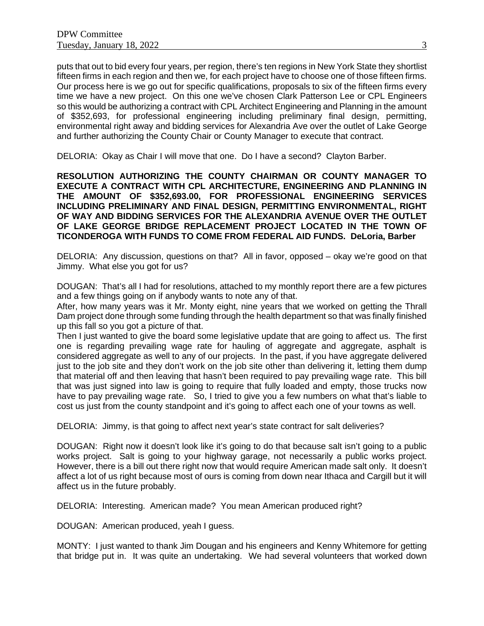puts that out to bid every four years, per region, there's ten regions in New York State they shortlist fifteen firms in each region and then we, for each project have to choose one of those fifteen firms. Our process here is we go out for specific qualifications, proposals to six of the fifteen firms every time we have a new project. On this one we've chosen Clark Patterson Lee or CPL Engineers so this would be authorizing a contract with CPL Architect Engineering and Planning in the amount of \$352,693, for professional engineering including preliminary final design, permitting, environmental right away and bidding services for Alexandria Ave over the outlet of Lake George and further authorizing the County Chair or County Manager to execute that contract.

DELORIA: Okay as Chair I will move that one. Do I have a second? Clayton Barber.

**RESOLUTION AUTHORIZING THE COUNTY CHAIRMAN OR COUNTY MANAGER TO EXECUTE A CONTRACT WITH CPL ARCHITECTURE, ENGINEERING AND PLANNING IN THE AMOUNT OF \$352,693.00, FOR PROFESSIONAL ENGINEERING SERVICES INCLUDING PRELIMINARY AND FINAL DESIGN, PERMITTING ENVIRONMENTAL, RIGHT OF WAY AND BIDDING SERVICES FOR THE ALEXANDRIA AVENUE OVER THE OUTLET OF LAKE GEORGE BRIDGE REPLACEMENT PROJECT LOCATED IN THE TOWN OF TICONDEROGA WITH FUNDS TO COME FROM FEDERAL AID FUNDS. DeLoria, Barber**

DELORIA: Any discussion, questions on that? All in favor, opposed – okay we're good on that Jimmy. What else you got for us?

DOUGAN: That's all I had for resolutions, attached to my monthly report there are a few pictures and a few things going on if anybody wants to note any of that.

After, how many years was it Mr. Monty eight, nine years that we worked on getting the Thrall Dam project done through some funding through the health department so that was finally finished up this fall so you got a picture of that.

Then I just wanted to give the board some legislative update that are going to affect us. The first one is regarding prevailing wage rate for hauling of aggregate and aggregate, asphalt is considered aggregate as well to any of our projects. In the past, if you have aggregate delivered just to the job site and they don't work on the job site other than delivering it, letting them dump that material off and then leaving that hasn't been required to pay prevailing wage rate. This bill that was just signed into law is going to require that fully loaded and empty, those trucks now have to pay prevailing wage rate. So, I tried to give you a few numbers on what that's liable to cost us just from the county standpoint and it's going to affect each one of your towns as well.

DELORIA: Jimmy, is that going to affect next year's state contract for salt deliveries?

DOUGAN: Right now it doesn't look like it's going to do that because salt isn't going to a public works project. Salt is going to your highway garage, not necessarily a public works project. However, there is a bill out there right now that would require American made salt only. It doesn't affect a lot of us right because most of ours is coming from down near Ithaca and Cargill but it will affect us in the future probably.

DELORIA: Interesting. American made? You mean American produced right?

DOUGAN: American produced, yeah I guess.

MONTY: I just wanted to thank Jim Dougan and his engineers and Kenny Whitemore for getting that bridge put in. It was quite an undertaking. We had several volunteers that worked down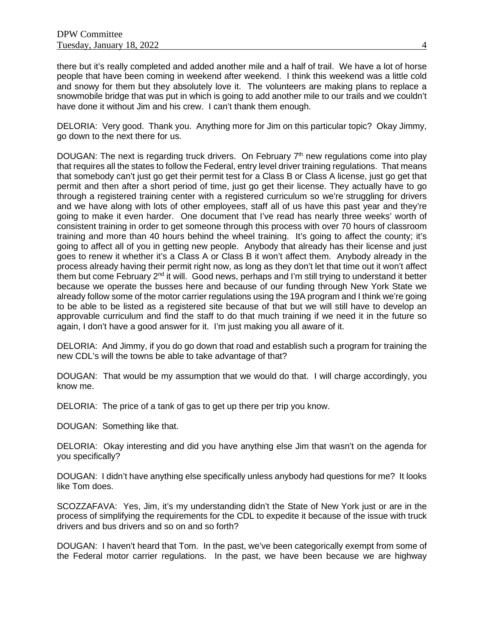there but it's really completed and added another mile and a half of trail. We have a lot of horse people that have been coming in weekend after weekend. I think this weekend was a little cold and snowy for them but they absolutely love it. The volunteers are making plans to replace a snowmobile bridge that was put in which is going to add another mile to our trails and we couldn't have done it without Jim and his crew. I can't thank them enough.

DELORIA: Very good. Thank you. Anything more for Jim on this particular topic? Okay Jimmy, go down to the next there for us.

DOUGAN: The next is regarding truck drivers. On February  $7<sup>th</sup>$  new regulations come into play that requires all the states to follow the Federal, entry level driver training regulations. That means that somebody can't just go get their permit test for a Class B or Class A license, just go get that permit and then after a short period of time, just go get their license. They actually have to go through a registered training center with a registered curriculum so we're struggling for drivers and we have along with lots of other employees, staff all of us have this past year and they're going to make it even harder. One document that I've read has nearly three weeks' worth of consistent training in order to get someone through this process with over 70 hours of classroom training and more than 40 hours behind the wheel training. It's going to affect the county; it's going to affect all of you in getting new people. Anybody that already has their license and just goes to renew it whether it's a Class A or Class B it won't affect them. Anybody already in the process already having their permit right now, as long as they don't let that time out it won't affect them but come February  $2^{nd}$  it will. Good news, perhaps and I'm still trying to understand it better because we operate the busses here and because of our funding through New York State we already follow some of the motor carrier regulations using the 19A program and I think we're going to be able to be listed as a registered site because of that but we will still have to develop an approvable curriculum and find the staff to do that much training if we need it in the future so again, I don't have a good answer for it. I'm just making you all aware of it.

DELORIA: And Jimmy, if you do go down that road and establish such a program for training the new CDL's will the towns be able to take advantage of that?

DOUGAN: That would be my assumption that we would do that. I will charge accordingly, you know me.

DELORIA: The price of a tank of gas to get up there per trip you know.

DOUGAN: Something like that.

DELORIA: Okay interesting and did you have anything else Jim that wasn't on the agenda for you specifically?

DOUGAN: I didn't have anything else specifically unless anybody had questions for me? It looks like Tom does.

SCOZZAFAVA: Yes, Jim, it's my understanding didn't the State of New York just or are in the process of simplifying the requirements for the CDL to expedite it because of the issue with truck drivers and bus drivers and so on and so forth?

DOUGAN: I haven't heard that Tom. In the past, we've been categorically exempt from some of the Federal motor carrier regulations. In the past, we have been because we are highway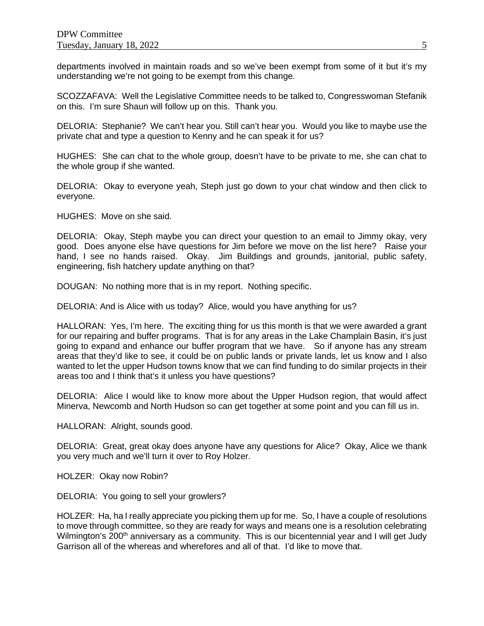departments involved in maintain roads and so we've been exempt from some of it but it's my understanding we're not going to be exempt from this change.

SCOZZAFAVA: Well the Legislative Committee needs to be talked to, Congresswoman Stefanik on this. I'm sure Shaun will follow up on this. Thank you.

DELORIA: Stephanie? We can't hear you. Still can't hear you. Would you like to maybe use the private chat and type a question to Kenny and he can speak it for us?

HUGHES: She can chat to the whole group, doesn't have to be private to me, she can chat to the whole group if she wanted.

DELORIA: Okay to everyone yeah, Steph just go down to your chat window and then click to everyone.

HUGHES: Move on she said.

DELORIA: Okay, Steph maybe you can direct your question to an email to Jimmy okay, very good. Does anyone else have questions for Jim before we move on the list here? Raise your hand, I see no hands raised. Okay. Jim Buildings and grounds, janitorial, public safety, engineering, fish hatchery update anything on that?

DOUGAN: No nothing more that is in my report. Nothing specific.

DELORIA: And is Alice with us today? Alice, would you have anything for us?

HALLORAN: Yes, I'm here. The exciting thing for us this month is that we were awarded a grant for our repairing and buffer programs. That is for any areas in the Lake Champlain Basin, it's just going to expand and enhance our buffer program that we have. So if anyone has any stream areas that they'd like to see, it could be on public lands or private lands, let us know and I also wanted to let the upper Hudson towns know that we can find funding to do similar projects in their areas too and I think that's it unless you have questions?

DELORIA: Alice I would like to know more about the Upper Hudson region, that would affect Minerva, Newcomb and North Hudson so can get together at some point and you can fill us in.

HALLORAN: Alright, sounds good.

DELORIA: Great, great okay does anyone have any questions for Alice? Okay, Alice we thank you very much and we'll turn it over to Roy Holzer.

HOLZER: Okay now Robin?

DELORIA: You going to sell your growlers?

HOLZER: Ha, ha I really appreciate you picking them up for me. So, I have a couple of resolutions to move through committee, so they are ready for ways and means one is a resolution celebrating Wilmington's 200<sup>th</sup> anniversary as a community. This is our bicentennial year and I will get Judy Garrison all of the whereas and wherefores and all of that. I'd like to move that.